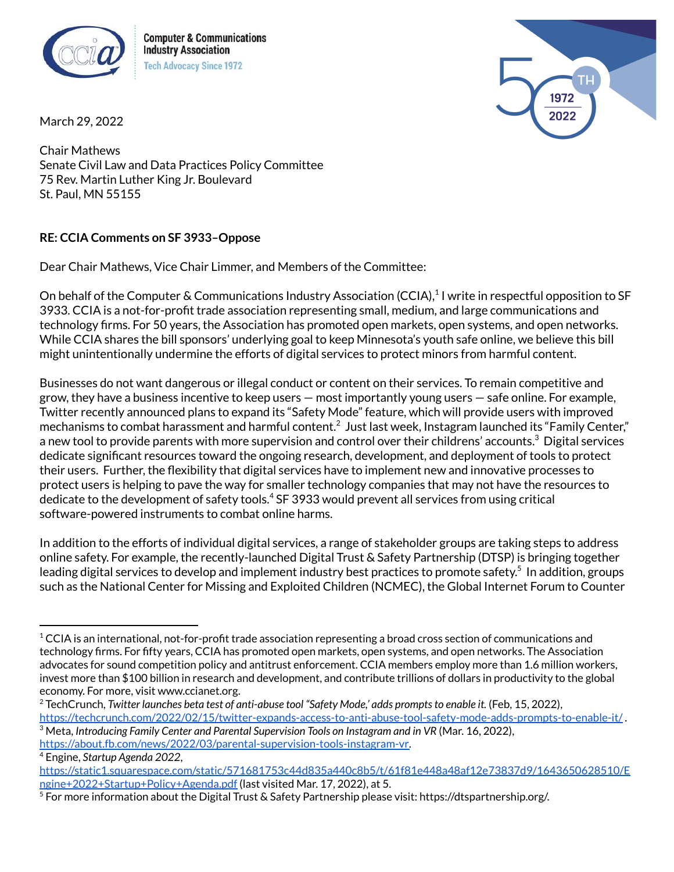

**Computer & Communications Industry Association Tech Advocacy Since 1972** 



March 29, 2022

Chair Mathews Senate Civil Law and Data Practices Policy Committee 75 Rev. Martin Luther King Jr. Boulevard St. Paul, MN 55155

## **RE: CCIA Comments on SF 3933–Oppose**

Dear Chair Mathews, Vice Chair Limmer, and Members of the Committee:

On behalf of the Computer & Communications Industry Association (CCIA),<sup>1</sup> I write in respectful opposition to SF 3933. CCIA is a not-for-profit trade association representing small, medium, and large communications and technology firms. For 50 years, the Association has promoted open markets, open systems, and open networks. While CCIA shares the bill sponsors' underlying goal to keep Minnesota's youth safe online, we believe this bill might unintentionally undermine the efforts of digital services to protect minors from harmful content.

Businesses do not want dangerous or illegal conduct or content on their services. To remain competitive and grow, they have a business incentive to keep users — most importantly young users — safe online. For example, Twitter recently announced plans to expand its "Safety Mode" feature, which will provide users with improved mechanisms to combat harassment and harmful content. $^2$  Just last week, Instagram launched its "Family Center," a new tool to provide parents with more supervision and control over their childrens' accounts. $^3$  Digital services dedicate significant resources toward the ongoing research, development, and deployment of tools to protect their users. Further, the flexibility that digital services have to implement new and innovative processes to protect users is helping to pave the way for smaller technology companies that may not have the resources to dedicate to the development of safety tools. <sup>4</sup> SF 3933 would prevent all services from using critical software-powered instruments to combat online harms.

In addition to the efforts of individual digital services, a range of stakeholder groups are taking steps to address online safety. For example, the recently-launched Digital Trust & Safety Partnership (DTSP) is bringing together leading digital services to develop and implement industry best practices to promote safety. 5 In addition, groups such as the National Center for Missing and Exploited Children (NCMEC), the Global Internet Forum to Counter

 $1$  CCIA is an international, not-for-profit trade association representing a broad cross section of communications and technology firms. For fifty years, CCIA has promoted open markets, open systems, and open networks. The Association advocates for sound competition policy and antitrust enforcement. CCIA members employ more than 1.6 million workers, invest more than \$100 billion in research and development, and contribute trillions of dollars in productivity to the global economy. For more, visit www.ccianet.org.

<sup>3</sup> Meta, *Introducing Family Center and Parental Supervision Tools on Instagram and in VR* (Mar. 16, 2022), <sup>2</sup> TechCrunch, *Twitter launches beta test of anti-abuse tool "Safety Mode,' adds promptsto enable it.* (Feb, 15, 2022), <https://techcrunch.com/2022/02/15/twitter-expands-access-to-anti-abuse-tool-safety-mode-adds-prompts-to-enable-it/> .

[https://about.fb.com/news/2022/03/parental-supervision-tools-instagram-vr.](https://about.fb.com/news/2022/03/parental-supervision-tools-instagram-vr/)

<sup>4</sup> Engine, *Startup Agenda 2022*,

[https://static1.squarespace.com/static/571681753c44d835a440c8b5/t/61f81e448a48af12e73837d9/1643650628510/E](https://static1.squarespace.com/static/571681753c44d835a440c8b5/t/61f81e448a48af12e73837d9/1643650628510/Engine+2022+Startup+Policy+Agenda.pdf) [ngine+2022+Startup+Policy+Agenda.pdf](https://static1.squarespace.com/static/571681753c44d835a440c8b5/t/61f81e448a48af12e73837d9/1643650628510/Engine+2022+Startup+Policy+Agenda.pdf) (last visited Mar. 17, 2022), at 5.

 $^5$  For more information about the Digital Trust & Safety Partnership please visit: https://dtspartnership.org/.